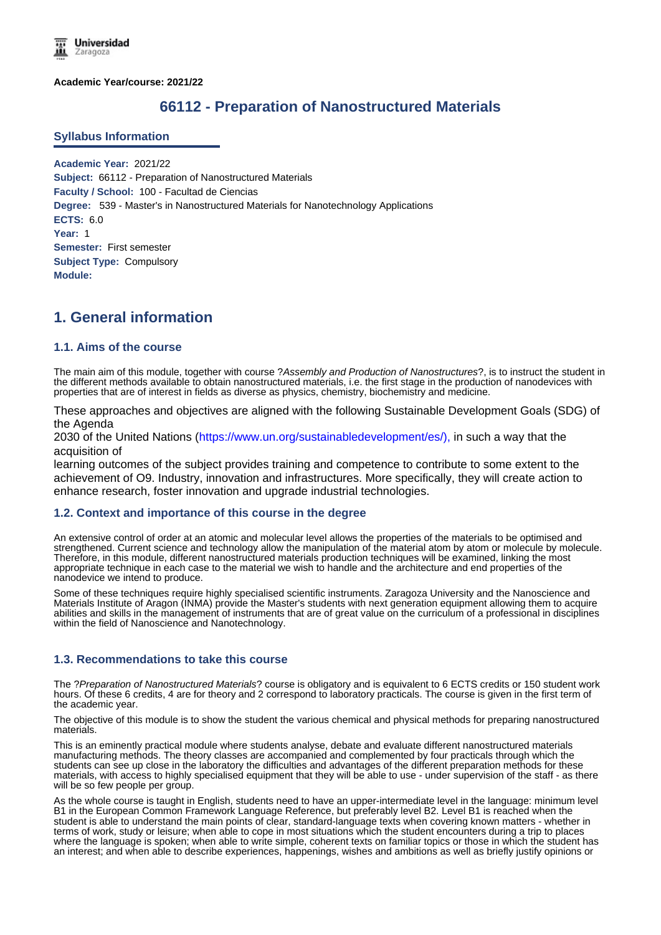**Academic Year/course: 2021/22**

# **66112 - Preparation of Nanostructured Materials**

### **Syllabus Information**

**Academic Year:** 2021/22 **Subject:** 66112 - Preparation of Nanostructured Materials **Faculty / School:** 100 - Facultad de Ciencias **Degree:** 539 - Master's in Nanostructured Materials for Nanotechnology Applications **ECTS:** 6.0 **Year:** 1 **Semester:** First semester **Subject Type:** Compulsory **Module:**

# **1. General information**

## **1.1. Aims of the course**

The main aim of this module, together with course ?*Assembly and Production of Nanostructures*?, is to instruct the student in the different methods available to obtain nanostructured materials, i.e. the first stage in the production of nanodevices with properties that are of interest in fields as diverse as physics, chemistry, biochemistry and medicine.

These approaches and objectives are aligned with the following Sustainable Development Goals (SDG) of the Agenda

2030 of the United Nations (https://www.un.org/sustainabledevelopment/es/), in such a way that the acquisition of

learning outcomes of the subject provides training and competence to contribute to some extent to the achievement of O9. Industry, innovation and infrastructures. More specifically, they will create action to enhance research, foster innovation and upgrade industrial technologies.

### **1.2. Context and importance of this course in the degree**

An extensive control of order at an atomic and molecular level allows the properties of the materials to be optimised and strengthened. Current science and technology allow the manipulation of the material atom by atom or molecule by molecule. Therefore, in this module, different nanostructured materials production techniques will be examined, linking the most appropriate technique in each case to the material we wish to handle and the architecture and end properties of the nanodevice we intend to produce.

Some of these techniques require highly specialised scientific instruments. Zaragoza University and the Nanoscience and Materials Institute of Aragon (INMA) provide the Master's students with next generation equipment allowing them to acquire abilities and skills in the management of instruments that are of great value on the curriculum of a professional in disciplines within the field of Nanoscience and Nanotechnology.

# **1.3. Recommendations to take this course**

The ?*Preparation of Nanostructured Materials*? course is obligatory and is equivalent to 6 ECTS credits or 150 student work hours. Of these 6 credits, 4 are for theory and 2 correspond to laboratory practicals. The course is given in the first term of the academic year.

The objective of this module is to show the student the various chemical and physical methods for preparing nanostructured materials.

This is an eminently practical module where students analyse, debate and evaluate different nanostructured materials manufacturing methods. The theory classes are accompanied and complemented by four practicals through which the students can see up close in the laboratory the difficulties and advantages of the different preparation methods for these materials, with access to highly specialised equipment that they will be able to use - under supervision of the staff - as there will be so few people per group.

As the whole course is taught in English, students need to have an upper-intermediate level in the language: minimum level B1 in the European Common Framework Language Reference, but preferably level B2. Level B1 is reached when the student is able to understand the main points of clear, standard-language texts when covering known matters - whether in terms of work, study or leisure; when able to cope in most situations which the student encounters during a trip to places where the language is spoken; when able to write simple, coherent texts on familiar topics or those in which the student has an interest; and when able to describe experiences, happenings, wishes and ambitions as well as briefly justify opinions or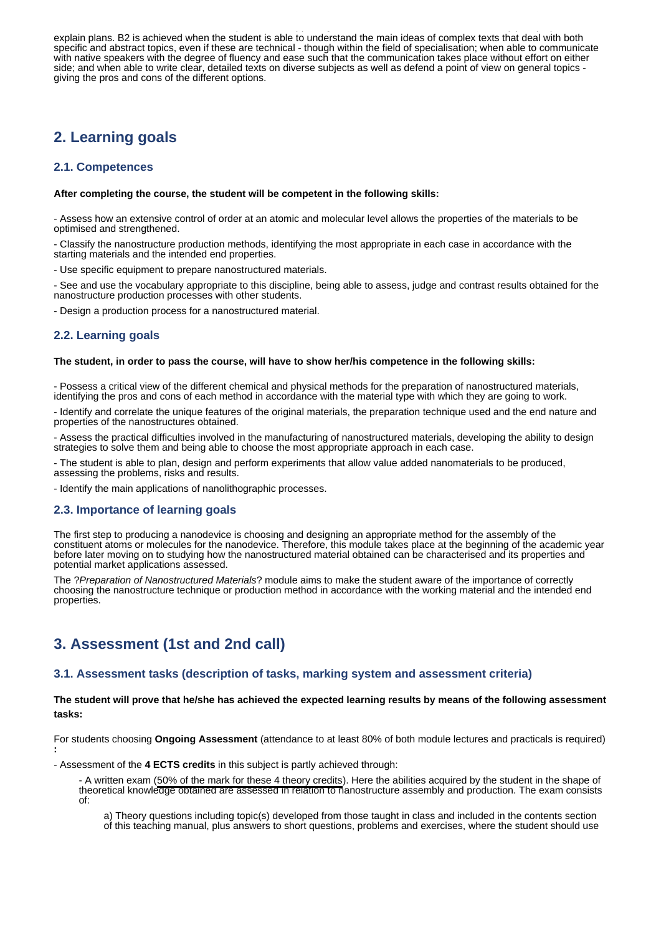an interest; and when able to describe experiences, happenings, wishes and ambitions as well as briefly justify opinions or explain plans. B2 is achieved when the student is able to understand the main ideas of complex texts that deal with both specific and abstract topics, even if these are technical - though within the field of specialisation; when able to communicate with native speakers with the degree of fluency and ease such that the communication takes place without effort on either side; and when able to write clear, detailed texts on diverse subjects as well as defend a point of view on general topics giving the pros and cons of the different options.

# **2. Learning goals**

# **2.1. Competences**

#### **After completing the course, the student will be competent in the following skills:**

- Assess how an extensive control of order at an atomic and molecular level allows the properties of the materials to be optimised and strengthened.

- Classify the nanostructure production methods, identifying the most appropriate in each case in accordance with the starting materials and the intended end properties.

- Use specific equipment to prepare nanostructured materials.

- See and use the vocabulary appropriate to this discipline, being able to assess, judge and contrast results obtained for the nanostructure production processes with other students.

- Design a production process for a nanostructured material.

## **2.2. Learning goals**

#### **The student, in order to pass the course, will have to show her/his competence in the following skills:**

- Possess a critical view of the different chemical and physical methods for the preparation of nanostructured materials, identifying the pros and cons of each method in accordance with the material type with which they are going to work.

- Identify and correlate the unique features of the original materials, the preparation technique used and the end nature and properties of the nanostructures obtained.

- Assess the practical difficulties involved in the manufacturing of nanostructured materials, developing the ability to design strategies to solve them and being able to choose the most appropriate approach in each case.

- The student is able to plan, design and perform experiments that allow value added nanomaterials to be produced, assessing the problems, risks and results.

- Identify the main applications of nanolithographic processes.

### **2.3. Importance of learning goals**

The first step to producing a nanodevice is choosing and designing an appropriate method for the assembly of the constituent atoms or molecules for the nanodevice. Therefore, this module takes place at the beginning of the academic year before later moving on to studying how the nanostructured material obtained can be characterised and its properties and potential market applications assessed.

The ?*Preparation of Nanostructured Materials*? module aims to make the student aware of the importance of correctly choosing the nanostructure technique or production method in accordance with the working material and the intended end properties.

# **3. Assessment (1st and 2nd call)**

#### **3.1. Assessment tasks (description of tasks, marking system and assessment criteria)**

**The student will prove that he/she has achieved the expected learning results by means of the following assessment tasks:**

For students choosing **Ongoing Assessment** (attendance to at least 80% of both module lectures and practicals is required) **:**

- Assessment of the **4 ECTS credits** in this subject is partly achieved through:

- A written exam (50% of the mark for these 4 theory credits). Here the abilities acquired by the student in the shape of theoretical knowledge obtained are assessed in relation to nanostructure assembly and production. The exam consists of:

a) Theory questions including topic(s) developed from those taught in class and included in the contents section of this teaching manual, plus answers to short questions, problems and exercises, where the student should use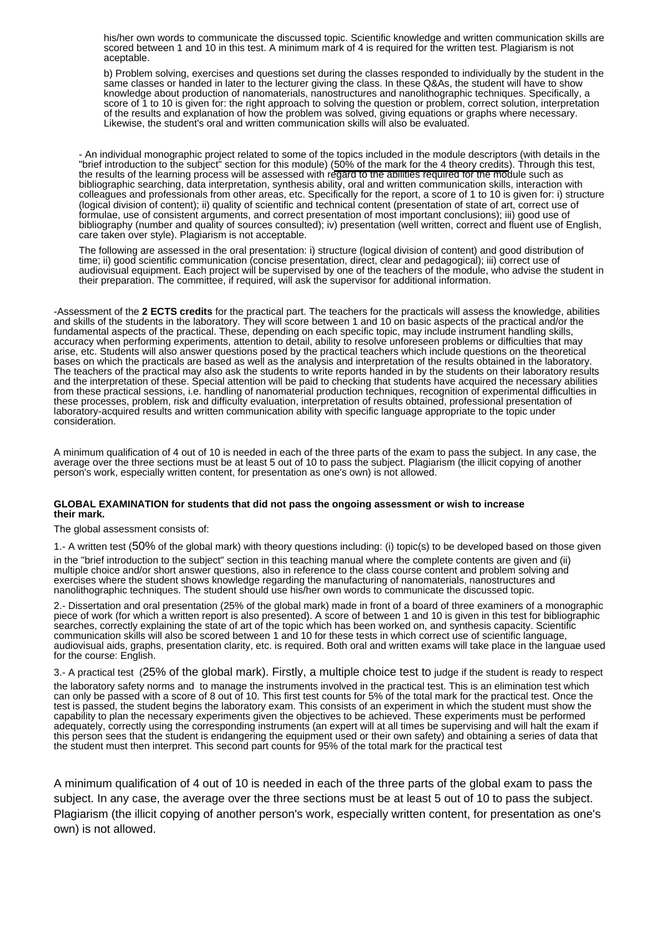his/her own words to communicate the discussed topic. Scientific knowledge and written communication skills are scored between 1 and 10 in this test. A minimum mark of 4 is required for the written test. Plagiarism is not aceptable.

b) Problem solving, exercises and questions set during the classes responded to individually by the student in the same classes or handed in later to the lecturer giving the class. In these Q&As, the student will have to show knowledge about production of nanomaterials, nanostructures and nanolithographic techniques. Specifically, a score of 1 to 10 is given for: the right approach to solving the question or problem, correct solution, interpretation of the results and explanation of how the problem was solved, giving equations or graphs where necessary. Likewise, the student's oral and written communication skills will also be evaluated.

- An individual monographic project related to some of the topics included in the module descriptors (with details in the "brief introduction to the subject" section for this module) (50% of the mark for the 4 theory credits). Through this test, the results of the learning process will be assessed with regard to the abilities required for the module such as bibliographic searching, data interpretation, synthesis ability, oral and written communication skills, interaction with colleagues and professionals from other areas, etc. Specifically for the report, a score of 1 to 10 is given for: i) structure (logical division of content); ii) quality of scientific and technical content (presentation of state of art, correct use of formulae, use of consistent arguments, and correct presentation of most important conclusions); iii) good use of bibliography (number and quality of sources consulted); iv) presentation (well written, correct and fluent use of English, care taken over style). Plagiarism is not acceptable.

The following are assessed in the oral presentation: i) structure (logical division of content) and good distribution of time; ii) good scientific communication (concise presentation, direct, clear and pedagogical); iii) correct use of audiovisual equipment. Each project will be supervised by one of the teachers of the module, who advise the student in their preparation. The committee, if required, will ask the supervisor for additional information.

-Assessment of the **2 ECTS credits** for the practical part. The teachers for the practicals will assess the knowledge, abilities and skills of the students in the laboratory. They will score between 1 and 10 on basic aspects of the practical and/or the fundamental aspects of the practical. These, depending on each specific topic, may include instrument handling skills, accuracy when performing experiments, attention to detail, ability to resolve unforeseen problems or difficulties that may arise, etc. Students will also answer questions posed by the practical teachers which include questions on the theoretical bases on which the practicals are based as well as the analysis and interpretation of the results obtained in the laboratory. The teachers of the practical may also ask the students to write reports handed in by the students on their laboratory results and the interpretation of these. Special attention will be paid to checking that students have acquired the necessary abilities from these practical sessions, i.e. handling of nanomaterial production techniques, recognition of experimental difficulties in these processes, problem, risk and difficulty evaluation, interpretation of results obtained, professional presentation of laboratory-acquired results and written communication ability with specific language appropriate to the topic under consideration.

A minimum qualification of 4 out of 10 is needed in each of the three parts of the exam to pass the subject. In any case, the average over the three sections must be at least 5 out of 10 to pass the subject. Plagiarism (the illicit copying of another person's work, especially written content, for presentation as one's own) is not allowed.

#### **GLOBAL EXAMINATION for students that did not pass the ongoing assessment or wish to increase their mark.**

The global assessment consists of:

1.- A written test (50% of the global mark) with theory questions including: (i) topic(s) to be developed based on those given

in the "brief introduction to the subject" section in this teaching manual where the complete contents are given and (ii) multiple choice and/or short answer questions, also in reference to the class course content and problem solving and exercises where the student shows knowledge regarding the manufacturing of nanomaterials, nanostructures and nanolithographic techniques. The student should use his/her own words to communicate the discussed topic.

2.- Dissertation and oral presentation (25% of the global mark) made in front of a board of three examiners of a monographic piece of work (for which a written report is also presented). A score of between 1 and 10 is given in this test for bibliographic searches, correctly explaining the state of art of the topic which has been worked on, and synthesis capacity. Scientific communication skills will also be scored between 1 and 10 for these tests in which correct use of scientific language, audiovisual aids, graphs, presentation clarity, etc. is required. Both oral and written exams will take place in the languae used for the course: English.

3.- A practical test (25% of the global mark). Firstly, a multiple choice test to judge if the student is ready to respect

the laboratory safety norms and to manage the instruments involved in the practical test. This is an elimination test which can only be passed with a score of 8 out of 10. This first test counts for 5% of the total mark for the practical test. Once the test is passed, the student begins the laboratory exam. This consists of an experiment in which the student must show the capability to plan the necessary experiments given the objectives to be achieved. These experiments must be performed adequately, correctly using the corresponding instruments (an expert will at all times be supervising and will halt the exam if this person sees that the student is endangering the equipment used or their own safety) and obtaining a series of data that the student must then interpret. This second part counts for 95% of the total mark for the practical test

A minimum qualification of 4 out of 10 is needed in each of the three parts of the global exam to pass the subject. In any case, the average over the three sections must be at least 5 out of 10 to pass the subject. Plagiarism (the illicit copying of another person's work, especially written content, for presentation as one's own) is not allowed.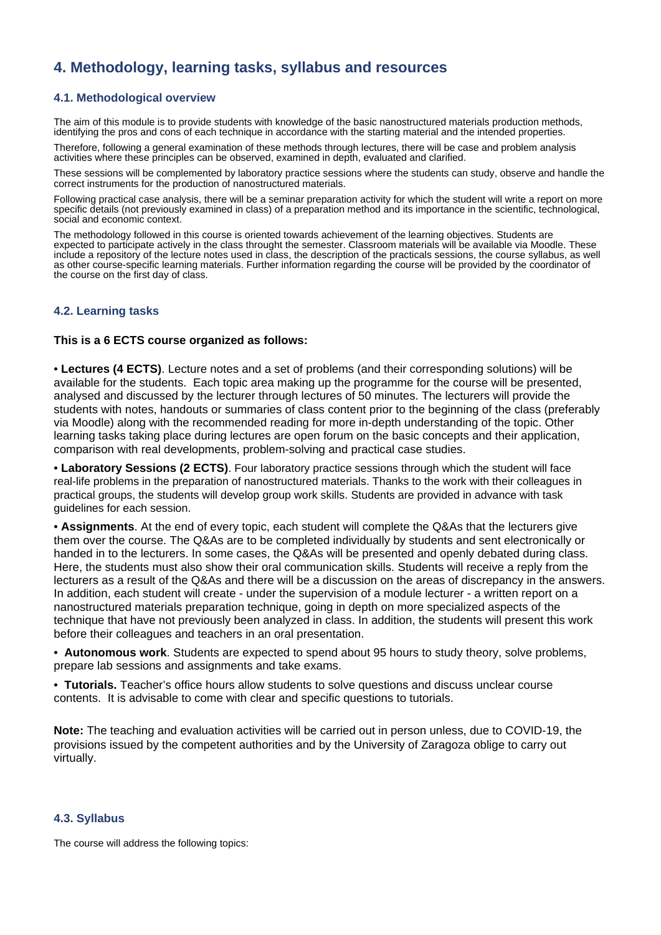# **4. Methodology, learning tasks, syllabus and resources**

# **4.1. Methodological overview**

The aim of this module is to provide students with knowledge of the basic nanostructured materials production methods, identifying the pros and cons of each technique in accordance with the starting material and the intended properties.

Therefore, following a general examination of these methods through lectures, there will be case and problem analysis activities where these principles can be observed, examined in depth, evaluated and clarified.

These sessions will be complemented by laboratory practice sessions where the students can study, observe and handle the correct instruments for the production of nanostructured materials.

Following practical case analysis, there will be a seminar preparation activity for which the student will write a report on more specific details (not previously examined in class) of a preparation method and its importance in the scientific, technological, social and economic context.

The methodology followed in this course is oriented towards achievement of the learning objectives. Students are expected to participate actively in the class throught the semester. Classroom materials will be available via Moodle. These include a repository of the lecture notes used in class, the description of the practicals sessions, the course syllabus, as well as other course-specific learning materials. Further information regarding the course will be provided by the coordinator of the course on the first day of class.

## **4.2. Learning tasks**

## **This is a 6 ECTS course organized as follows:**

• **Lectures (4 ECTS)**. Lecture notes and a set of problems (and their corresponding solutions) will be available for the students. Each topic area making up the programme for the course will be presented, analysed and discussed by the lecturer through lectures of 50 minutes. The lecturers will provide the students with notes, handouts or summaries of class content prior to the beginning of the class (preferably via Moodle) along with the recommended reading for more in-depth understanding of the topic. Other learning tasks taking place during lectures are open forum on the basic concepts and their application, comparison with real developments, problem-solving and practical case studies.

• **Laboratory Sessions (2 ECTS)**. Four laboratory practice sessions through which the student will face real-life problems in the preparation of nanostructured materials. Thanks to the work with their colleagues in practical groups, the students will develop group work skills. Students are provided in advance with task guidelines for each session.

• **Assignments**. At the end of every topic, each student will complete the Q&As that the lecturers give them over the course. The Q&As are to be completed individually by students and sent electronically or handed in to the lecturers. In some cases, the Q&As will be presented and openly debated during class. Here, the students must also show their oral communication skills. Students will receive a reply from the lecturers as a result of the Q&As and there will be a discussion on the areas of discrepancy in the answers. In addition, each student will create - under the supervision of a module lecturer - a written report on a nanostructured materials preparation technique, going in depth on more specialized aspects of the technique that have not previously been analyzed in class. In addition, the students will present this work before their colleagues and teachers in an oral presentation.

• **Autonomous work**. Students are expected to spend about 95 hours to study theory, solve problems, prepare lab sessions and assignments and take exams.

• **Tutorials.** Teacher's office hours allow students to solve questions and discuss unclear course contents. It is advisable to come with clear and specific questions to tutorials.

**Note:** The teaching and evaluation activities will be carried out in person unless, due to COVID-19, the provisions issued by the competent authorities and by the University of Zaragoza oblige to carry out virtually.

### **4.3. Syllabus**

The course will address the following topics: